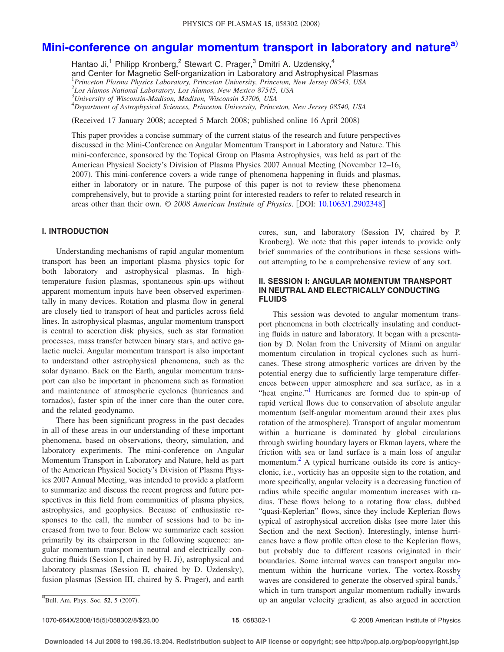# <span id="page-0-0"></span>**[Mini-conference on angular momentum transport in laboratory and nature](http://dx.doi.org/10.1063/1.2902348)[a](#page-0-0)**…

Hantao Ji,<sup>1</sup> Philipp Kronberg,<sup>2</sup> Stewart C. Prager,<sup>3</sup> Dmitri A. Uzdensky,<sup>4</sup> and Center for Magnetic Self-organization in Laboratory and Astrophysical Plasmas 1 *Princeton Plasma Physics Laboratory, Princeton University, Princeton, New Jersey 08543, USA* 2 *Los Alamos National Laboratory, Los Alamos, New Mexico 87545, USA* 3 *University of Wisconsin-Madison, Madison, Wisconsin 53706, USA*

4 *Department of Astrophysical Sciences, Princeton University, Princeton, New Jersey 08540, USA*

(Received 17 January 2008; accepted 5 March 2008; published online 16 April 2008)

This paper provides a concise summary of the current status of the research and future perspectives discussed in the Mini-Conference on Angular Momentum Transport in Laboratory and Nature. This mini-conference, sponsored by the Topical Group on Plasma Astrophysics, was held as part of the American Physical Society's Division of Plasma Physics 2007 Annual Meeting (November 12–16, 2007). This mini-conference covers a wide range of phenomena happening in fluids and plasmas, either in laboratory or in nature. The purpose of this paper is not to review these phenomena comprehensively, but to provide a starting point for interested readers to refer to related research in areas other than their own.  $\odot$  2008 American Institute of Physics. [DOI: [10.1063/1.2902348](http://dx.doi.org/10.1063/1.2902348)]

# **I. INTRODUCTION**

Understanding mechanisms of rapid angular momentum transport has been an important plasma physics topic for both laboratory and astrophysical plasmas. In hightemperature fusion plasmas, spontaneous spin-ups without apparent momentum inputs have been observed experimentally in many devices. Rotation and plasma flow in general are closely tied to transport of heat and particles across field lines. In astrophysical plasmas, angular momentum transport is central to accretion disk physics, such as star formation processes, mass transfer between binary stars, and active galactic nuclei. Angular momentum transport is also important to understand other astrophysical phenomena, such as the solar dynamo. Back on the Earth, angular momentum transport can also be important in phenomena such as formation and maintenance of atmospheric cyclones (hurricanes and tornados), faster spin of the inner core than the outer core, and the related geodynamo.

There has been significant progress in the past decades in all of these areas in our understanding of these important phenomena, based on observations, theory, simulation, and laboratory experiments. The mini-conference on Angular Momentum Transport in Laboratory and Nature, held as part of the American Physical Society's Division of Plasma Physics 2007 Annual Meeting, was intended to provide a platform to summarize and discuss the recent progress and future perspectives in this field from communities of plasma physics, astrophysics, and geophysics. Because of enthusiastic responses to the call, the number of sessions had to be increased from two to four. Below we summarize each session primarily by its chairperson in the following sequence: angular momentum transport in neutral and electrically conducting fluids (Session I, chaired by H. Ji), astrophysical and laboratory plasmas (Session II, chaired by D. Uzdensky), fusion plasmas (Session III, chaired by S. Prager), and earth cores, sun, and laboratory (Session IV, chaired by P. Kronberg). We note that this paper intends to provide only brief summaries of the contributions in these sessions without attempting to be a comprehensive review of any sort.

# **II. SESSION I: ANGULAR MOMENTUM TRANSPORT IN NEUTRAL AND ELECTRICALLY CONDUCTING FLUIDS**

This session was devoted to angular momentum transport phenomena in both electrically insulating and conducting fluids in nature and laboratory. It began with a presentation by D. Nolan from the University of Miami on angular momentum circulation in tropical cyclones such as hurricanes. These strong atmospheric vortices are driven by the potential energy due to sufficiently large temperature differences between upper atmosphere and sea surface, as in a "heat engine."<sup>1</sup> Hurricanes are formed due to spin-up of rapid vertical flows due to conservation of absolute angular momentum (self-angular momentum around their axes plus rotation of the atmosphere). Transport of angular momentum within a hurricane is dominated by global circulations through swirling boundary layers or Ekman layers, where the friction with sea or land surface is a main loss of angular momentum.<sup>2</sup> A typical hurricane outside its core is anticyclonic, i.e., vorticity has an opposite sign to the rotation, and more specifically, angular velocity is a decreasing function of radius while specific angular momentum increases with radius. These flows belong to a rotating flow class, dubbed "quasi-Keplerian" flows, since they include Keplerian flows typical of astrophysical accretion disks (see more later this Section and the next Section). Interestingly, intense hurricanes have a flow profile often close to the Keplerian flows, but probably due to different reasons originated in their boundaries. Some internal waves can transport angular momentum within the hurricane vortex. The vortex-Rossby waves are considered to generate the observed spiral bands,<sup>3</sup> which in turn transport angular momentum radially inwards up an angular velocity gradient, as also argued in accretion

1070-664X/2008/15!5"/058302/8/\$23.00 © 2008 American Institute of Physics **15**, 058302-1

 $B<sup>a</sup>$ Bull. Am. Phys. Soc. 52, 5  $(2007)$ .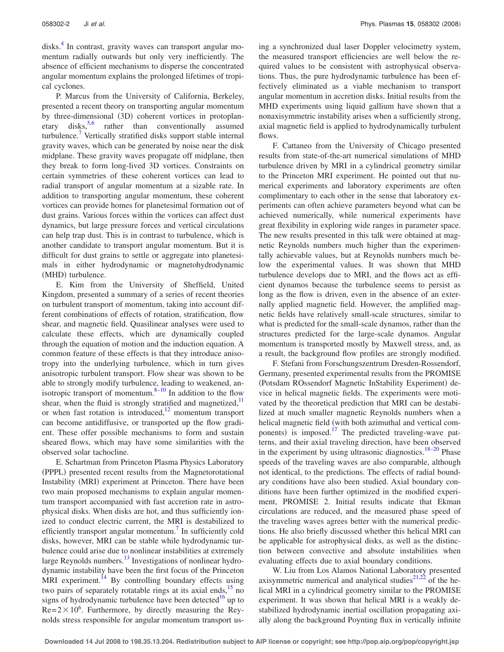disks.<sup>4</sup> In contrast, gravity waves can transport angular momentum radially outwards but only very inefficiently. The absence of efficient mechanisms to disperse the concentrated angular momentum explains the prolonged lifetimes of tropical cyclones.

P. Marcus from the University of California, Berkeley, presented a recent theory on transporting angular momentum by three-dimensional (3D) coherent vortices in protoplan-etary disks,<sup>5[,6](#page-7-5)</sup> rather than conventionally assumed turbulence.<sup>7</sup> Vertically stratified disks support stable internal gravity waves, which can be generated by noise near the disk midplane. These gravity waves propagate off midplane, then they break to form long-lived 3D vortices. Constraints on certain symmetries of these coherent vortices can lead to radial transport of angular momentum at a sizable rate. In addition to transporting angular momentum, these coherent vortices can provide homes for planetesimal formation out of dust grains. Various forces within the vortices can affect dust dynamics, but large pressure forces and vertical circulations can help trap dust. This is in contrast to turbulence, which is another candidate to transport angular momentum. But it is difficult for dust grains to settle or aggregate into planetesimals in either hydrodynamic or magnetohydrodynamic (MHD) turbulence.

E. Kim from the University of Sheffield, United Kingdom, presented a summary of a series of recent theories on turbulent transport of momentum, taking into account different combinations of effects of rotation, stratification, flow shear, and magnetic field. Quasilinear analyses were used to calculate these effects, which are dynamically coupled through the equation of motion and the induction equation. A common feature of these effects is that they introduce anisotropy into the underlying turbulence, which in turn gives anisotropic turbulent transport. Flow shear was shown to be able to strongly modify turbulence, leading to weakened, anisotropic transport of momentum. $8-10$  $8-10$  In addition to the flow shear, when the fluid is strongly stratified and magnetized, $11$ or when fast rotation is introduced, $12$  momentum transport can become antidiffusive, or transported up the flow gradient. These offer possible mechanisms to form and sustain sheared flows, which may have some similarities with the observed solar tachocline.

E. Schartman from Princeton Plasma Physics Laboratory (PPPL) presented recent results from the Magnetorotational Instability (MRI) experiment at Princeton. There have been two main proposed mechanisms to explain angular momentum transport accompanied with fast accretion rate in astrophysical disks. When disks are hot, and thus sufficiently ionized to conduct electric current, the MRI is destabilized to efficiently transport angular momentum.<sup>7</sup> In sufficiently cold disks, however, MRI can be stable while hydrodynamic turbulence could arise due to nonlinear instabilities at extremely large Reynolds numbers.<sup>13</sup> Investigations of nonlinear hydrodynamic instability have been the first focus of the Princeton MRI experiment.<sup>14</sup> By controlling boundary effects using two pairs of separately rotatable rings at its axial ends, $\frac{15}{15}$  no signs of hydrodynamic turbulence have been detected<sup>16</sup> up to  $Re = 2 \times 10^6$ . Furthermore, by directly measuring the Reynolds stress responsible for angular momentum transport using a synchronized dual laser Doppler velocimetry system, the measured transport efficiencies are well below the required values to be consistent with astrophysical observations. Thus, the pure hydrodynamic turbulence has been effectively eliminated as a viable mechanism to transport angular momentum in accretion disks. Initial results from the MHD experiments using liquid gallium have shown that a nonaxisymmetric instability arises when a sufficiently strong, axial magnetic field is applied to hydrodynamically turbulent flows.

F. Cattaneo from the University of Chicago presented results from state-of-the-art numerical simulations of MHD turbulence driven by MRI in a cylindrical geometry similar to the Princeton MRI experiment. He pointed out that numerical experiments and laboratory experiments are often complimentary to each other in the sense that laboratory experiments can often achieve parameters beyond what can be achieved numerically, while numerical experiments have great flexibility in exploring wide ranges in parameter space. The new results presented in this talk were obtained at magnetic Reynolds numbers much higher than the experimentally achievable values, but at Reynolds numbers much below the experimental values. It was shown that MHD turbulence develops due to MRI, and the flows act as efficient dynamos because the turbulence seems to persist as long as the flow is driven, even in the absence of an externally applied magnetic field. However, the amplified magnetic fields have relatively small-scale structures, similar to what is predicted for the small-scale dynamos, rather than the structures predicted for the large-scale dynamos. Angular momentum is transported mostly by Maxwell stress, and, as a result, the background flow profiles are strongly modified.

F. Stefani from Forschungszentrum Dresden-Rossendorf, Germany, presented experimental results from the PROMISE (Potsdam ROssendorf Magnetic InStability Experiment) device in helical magnetic fields. The experiments were motivated by the theoretical prediction that MRI can be destabilized at much smaller magnetic Reynolds numbers when a helical magnetic field (with both azimuthal and vertical components) is imposed.<sup>17</sup> The predicted traveling-wave patterns, and their axial traveling direction, have been observed in the experiment by using ultrasonic diagnostics.<sup>18–[20](#page-7-17)</sup> Phase speeds of the traveling waves are also comparable, although not identical, to the predictions. The effects of radial boundary conditions have also been studied. Axial boundary conditions have been further optimized in the modified experiment, PROMISE 2. Initial results indicate that Ekman circulations are reduced, and the measured phase speed of the traveling waves agrees better with the numerical predictions. He also briefly discussed whether this helical MRI can be applicable for astrophysical disks, as well as the distinction between convective and absolute instabilities when evaluating effects due to axial boundary conditions.

W. Liu from Los Alamos National Laboratory presented axisymmetric numerical and analytical studies $^{21,22}$  $^{21,22}$  $^{21,22}$  of the helical MRI in a cylindrical geometry similar to the PROMISE experiment. It was shown that helical MRI is a weakly destabilized hydrodynamic inertial oscillation propagating axially along the background Poynting flux in vertically infinite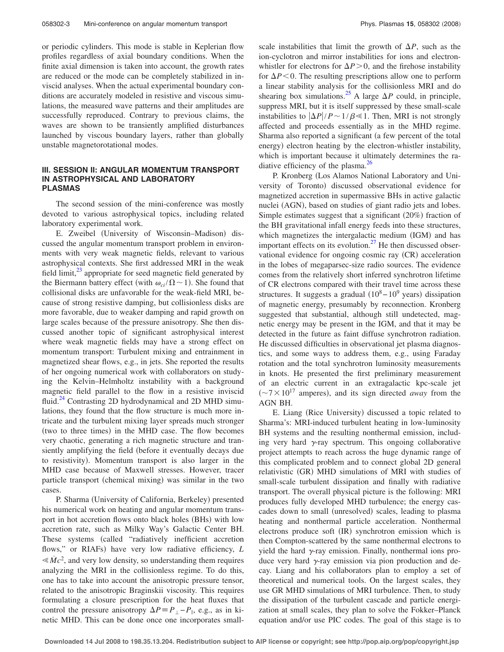or periodic cylinders. This mode is stable in Keplerian flow profiles regardless of axial boundary conditions. When the finite axial dimension is taken into account, the growth rates are reduced or the mode can be completely stabilized in inviscid analyses. When the actual experimental boundary conditions are accurately modeled in resistive and viscous simulations, the measured wave patterns and their amplitudes are successfully reproduced. Contrary to previous claims, the waves are shown to be transiently amplified disturbances launched by viscous boundary layers, rather than globally unstable magnetorotational modes.

#### **III. SESSION II: ANGULAR MOMENTUM TRANSPORT IN ASTROPHYSICAL AND LABORATORY PLASMAS**

The second session of the mini-conference was mostly devoted to various astrophysical topics, including related laboratory experimental work.

E. Zweibel (University of Wisconsin–Madison) discussed the angular momentum transport problem in environments with very weak magnetic fields, relevant to various astrophysical contexts. She first addressed MRI in the weak field limit, $^{23}$  appropriate for seed magnetic field generated by the Biermann battery effect (with  $\omega_{ci}/\Omega \sim 1$ ). She found that collisional disks are unfavorable for the weak-field MRI, because of strong resistive damping, but collisionless disks are more favorable, due to weaker damping and rapid growth on large scales because of the pressure anisotropy. She then discussed another topic of significant astrophysical interest where weak magnetic fields may have a strong effect on momentum transport: Turbulent mixing and entrainment in magnetized shear flows, e.g., in jets. She reported the results of her ongoing numerical work with collaborators on studying the Kelvin–Helmholtz instability with a background magnetic field parallel to the flow in a resistive inviscid fluid.<sup>24</sup> Contrasting 2D hydrodynamical and 2D MHD simulations, they found that the flow structure is much more intricate and the turbulent mixing layer spreads much stronger (two to three times) in the MHD case. The flow becomes very chaotic, generating a rich magnetic structure and transiently amplifying the field (before it eventually decays due to resistivity). Momentum transport is also larger in the MHD case because of Maxwell stresses. However, tracer particle transport (chemical mixing) was similar in the two cases.

P. Sharma (University of California, Berkeley) presented his numerical work on heating and angular momentum transport in hot accretion flows onto black holes (BHs) with low accretion rate, such as Milky Way's Galactic Center BH. These systems (called "radiatively inefficient accretion flows," or RIAFs) have very low radiative efficiency, *L*  $\ll Mc^2$ , and very low density, so understanding them requires analyzing the MRI in the collisionless regime. To do this, one has to take into account the anisotropic pressure tensor, related to the anisotropic Braginskii viscosity. This requires formulating a closure prescription for the heat fluxes that control the pressure anisotropy  $\Delta P \equiv P_{\perp} - P_{\parallel}$ , e.g., as in kinetic MHD. This can be done once one incorporates smallscale instabilities that limit the growth of  $\Delta P$ , such as the ion-cyclotron and mirror instabilities for ions and electronwhistler for electrons for  $\Delta P > 0$ , and the firehose instability for  $\Delta P$ <0. The resulting prescriptions allow one to perform a linear stability analysis for the collisionless MRI and do shearing box simulations.<sup>25</sup> A large  $\Delta P$  could, in principle, suppress MRI, but it is itself suppressed by these small-scale instabilities to  $|\Delta P|/P \sim 1/\beta \ll 1$ . Then, MRI is not strongly affected and proceeds essentially as in the MHD regime. Sharma also reported a significant (a few percent of the total energy) electron heating by the electron-whistler instability, which is important because it ultimately determines the radiative efficiency of the plasma. $26$ 

P. Kronberg (Los Alamos National Laboratory and University of Toronto) discussed observational evidence for magnetized accretion in supermassive BHs in active galactic nuclei (AGN), based on studies of giant radio jets and lobes. Simple estimates suggest that a significant  $(20\%)$  fraction of the BH gravitational infall energy feeds into these structures, which magnetizes the intergalactic medium (IGM) and has important effects on its evolution. $^{27}$  He then discussed observational evidence for ongoing cosmic ray  $(CR)$  acceleration in the lobes of megaparsec-size radio sources. The evidence comes from the relatively short inferred synchrotron lifetime of CR electrons compared with their travel time across these structures. It suggests a gradual  $(10^8-10^9 \text{ years})$  dissipation of magnetic energy, presumably by reconnection. Kronberg suggested that substantial, although still undetected, magnetic energy may be present in the IGM, and that it may be detected in the future as faint diffuse synchrotron radiation. He discussed difficulties in observational jet plasma diagnostics, and some ways to address them, e.g., using Faraday rotation and the total synchrotron luminosity measurements in knots. He presented the first preliminary measurement of an electric current in an extragalactic kpc-scale jet  $(\sim 7 \times 10^{17}$  amperes), and its sign directed *away* from the AGN BH.

E. Liang (Rice University) discussed a topic related to Sharma's: MRI-induced turbulent heating in low-luminosity BH systems and the resulting nonthermal emission, including very hard  $\gamma$ -ray spectrum. This ongoing collaborative project attempts to reach across the huge dynamic range of this complicated problem and to connect global 2D general relativistic (GR) MHD simulations of MRI with studies of small-scale turbulent dissipation and finally with radiative transport. The overall physical picture is the following: MRI produces fully developed MHD turbulence; the energy cascades down to small (unresolved) scales, leading to plasma heating and nonthermal particle acceleration. Nonthermal electrons produce soft (IR) synchrotron emission which is then Compton-scattered by the same nonthermal electrons to yield the hard  $\gamma$ -ray emission. Finally, nonthermal ions produce very hard  $\gamma$ -ray emission via pion production and decay. Liang and his collaborators plan to employ a set of theoretical and numerical tools. On the largest scales, they use GR MHD simulations of MRI turbulence. Then, to study the dissipation of the turbulent cascade and particle energization at small scales, they plan to solve the Fokker–Planck equation and/or use PIC codes. The goal of this stage is to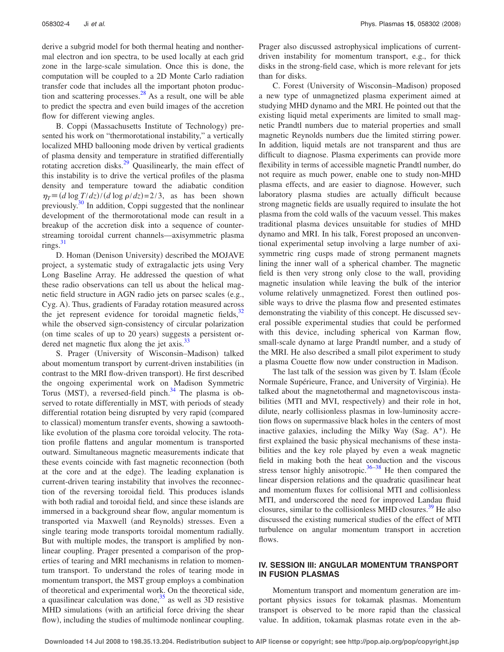derive a subgrid model for both thermal heating and nonthermal electron and ion spectra, to be used locally at each grid zone in the large-scale simulation. Once this is done, the computation will be coupled to a 2D Monte Carlo radiation transfer code that includes all the important photon production and scattering processes. $28$  As a result, one will be able to predict the spectra and even build images of the accretion flow for different viewing angles.

B. Coppi (Massachusetts Institute of Technology) presented his work on "thermorotational instability," a vertically localized MHD ballooning mode driven by vertical gradients of plasma density and temperature in stratified differentially rotating accretion disks.<sup>29</sup> Quasilinearly, the main effect of this instability is to drive the vertical profiles of the plasma density and temperature toward the adiabatic condition  $\eta_T \equiv (d \log T/dz)/(d \log \rho/dz) = 2/3$ , as has been shown previously.<sup>30</sup> In addition, Coppi suggested that the nonlinear development of the thermorotational mode can result in a breakup of the accretion disk into a sequence of counterstreaming toroidal current channels—axisymmetric plasma rings. $31$ 

D. Homan (Denison University) described the MOJAVE project, a systematic study of extragalactic jets using Very Long Baseline Array. He addressed the question of what these radio observations can tell us about the helical magnetic field structure in AGN radio jets on parsec scales (e.g., Cyg. A). Thus, gradients of Faraday rotation measured across the jet represent evidence for toroidal magnetic fields,  $32$ while the observed sign-consistency of circular polarization (on time scales of up to  $20$  years) suggests a persistent ordered net magnetic flux along the jet axis.<sup>33</sup>

S. Prager (University of Wisconsin–Madison) talked about momentum transport by current-driven instabilities (in contrast to the MRI flow-driven transport). He first described the ongoing experimental work on Madison Symmetric Torus (MST), a reversed-field pinch.<sup>34</sup> The plasma is observed to rotate differentially in MST, with periods of steady differential rotation being disrupted by very rapid (compared to classical) momentum transfer events, showing a sawtoothlike evolution of the plasma core toroidal velocity. The rotation profile flattens and angular momentum is transported outward. Simultaneous magnetic measurements indicate that these events coincide with fast magnetic reconnection (both at the core and at the edge). The leading explanation is current-driven tearing instability that involves the reconnection of the reversing toroidal field. This produces islands with both radial and toroidal field, and since these islands are immersed in a background shear flow, angular momentum is transported via Maxwell (and Reynolds) stresses. Even a single tearing mode transports toroidal momentum radially. But with multiple modes, the transport is amplified by nonlinear coupling. Prager presented a comparison of the properties of tearing and MRI mechanisms in relation to momentum transport. To understand the roles of tearing mode in momentum transport, the MST group employs a combination of theoretical and experimental work. On the theoretical side, a quasilinear calculation was done, $35$  as well as 3D resistive MHD simulations (with an artificial force driving the shear flow), including the studies of multimode nonlinear coupling.

Prager also discussed astrophysical implications of currentdriven instability for momentum transport, e.g., for thick disks in the strong-field case, which is more relevant for jets than for disks.

C. Forest (University of Wisconsin–Madison) proposed a new type of unmagnetized plasma experiment aimed at studying MHD dynamo and the MRI. He pointed out that the existing liquid metal experiments are limited to small magnetic Prandtl numbers due to material properties and small magnetic Reynolds numbers due the limited stirring power. In addition, liquid metals are not transparent and thus are difficult to diagnose. Plasma experiments can provide more flexibility in terms of accessible magnetic Prandtl number, do not require as much power, enable one to study non-MHD plasma effects, and are easier to diagnose. However, such laboratory plasma studies are actually difficult because strong magnetic fields are usually required to insulate the hot plasma from the cold walls of the vacuum vessel. This makes traditional plasma devices unsuitable for studies of MHD dynamo and MRI. In his talk, Forest proposed an unconventional experimental setup involving a large number of axisymmetric ring cusps made of strong permanent magnets lining the inner wall of a spherical chamber. The magnetic field is then very strong only close to the wall, providing magnetic insulation while leaving the bulk of the interior volume relatively unmagnetized. Forest then outlined possible ways to drive the plasma flow and presented estimates demonstrating the viability of this concept. He discussed several possible experimental studies that could be performed with this device, including spherical von Karman flow, small-scale dynamo at large Prandtl number, and a study of the MRI. He also described a small pilot experiment to study a plasma Couette flow now under construction in Madison.

The last talk of the session was given by T. Islam (École Normale Supérieure, France, and University of Virginia). He talked about the magnetothermal and magnetoviscous instabilities (MTI and MVI, respectively) and their role in hot, dilute, nearly collisionless plasmas in low-luminosity accretion flows on supermassive black holes in the centers of most inactive galaxies, including the Milky Way (Sag.  $A^*$ ). He first explained the basic physical mechanisms of these instabilities and the key role played by even a weak magnetic field in making both the heat conduction and the viscous stress tensor highly anisotropic.<sup>36[–38](#page-7-34)</sup> He then compared the linear dispersion relations and the quadratic quasilinear heat and momentum fluxes for collisional MTI and collisionless MTI, and underscored the need for improved Landau fluid closures, similar to the collisionless MHD closures. $39$  He also discussed the existing numerical studies of the effect of MTI turbulence on angular momentum transport in accretion flows.

## **IV. SESSION III: ANGULAR MOMENTUM TRANSPORT IN FUSION PLASMAS**

Momentum transport and momentum generation are important physics issues for tokamak plasmas. Momentum transport is observed to be more rapid than the classical value. In addition, tokamak plasmas rotate even in the ab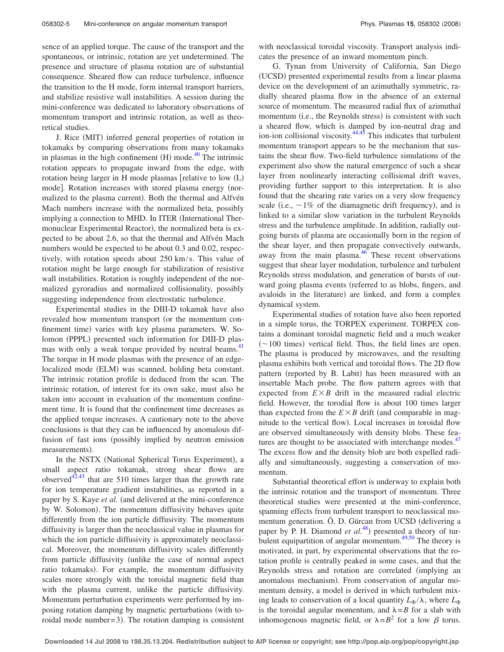sence of an applied torque. The cause of the transport and the spontaneous, or intrinsic, rotation are yet undetermined. The presence and structure of plasma rotation are of substantial consequence. Sheared flow can reduce turbulence, influence the transition to the H mode, form internal transport barriers, and stabilize resistive wall instabilities. A session during the mini-conference was dedicated to laboratory observations of momentum transport and intrinsic rotation, as well as theoretical studies.

J. Rice (MIT) inferred general properties of rotation in tokamaks by comparing observations from many tokamaks in plasmas in the high confinement  $(H)$  mode.<sup>40</sup> The intrinsic rotation appears to propagate inward from the edge, with rotation being larger in H mode plasmas  $[relative to low (L)]$ mode]. Rotation increases with stored plasma energy (normalized to the plasma current). Both the thermal and Alfvén Mach numbers increase with the normalized beta, possibly implying a connection to MHD. In ITER (International Thermonuclear Experimental Reactor), the normalized beta is expected to be about 2.6, so that the thermal and Alfvén Mach numbers would be expected to be about 0.3 and 0.02, respectively, with rotation speeds about 250 km/s. This value of rotation might be large enough for stabilization of resistive wall instabilities. Rotation is roughly independent of the normalized gyroradius and normalized collisionality, possibly suggesting independence from electrostatic turbulence.

Experimental studies in the DIII-D tokamak have also revealed how momentum transport (or the momentum confinement time) varies with key plasma parameters. W. Solomon (PPPL) presented such information for DIII-D plasmas with only a weak torque provided by neutral beams.<sup>41</sup> The torque in H mode plasmas with the presence of an edgelocalized mode (ELM) was scanned, holding beta constant. The intrinsic rotation profile is deduced from the scan. The intrinsic rotation, of interest for its own sake, must also be taken into account in evaluation of the momentum confinement time. It is found that the confinement time decreases as the applied torque increases. A cautionary note to the above conclusions is that they can be influenced by anomalous diffusion of fast ions (possibly implied by neutron emission measurements).

In the NSTX (National Spherical Torus Experiment), a small aspect ratio tokamak, strong shear flows are observed $42,43$  $42,43$  that are 510 times larger than the growth rate for ion temperature gradient instabilities, as reported in a paper by S. Kaye *et al.* (and delivered at the mini-conference by W. Solomon). The momentum diffusivity behaves quite differently from the ion particle diffusivity. The momentum diffusivity is larger than the neoclassical value in plasmas for which the ion particle diffusivity is approximately neoclassical. Moreover, the momentum diffusivity scales differently from particle diffusivity (unlike the case of normal aspect ratio tokamaks). For example, the momentum diffusivity scales more strongly with the toroidal magnetic field than with the plasma current, unlike the particle diffusivity. Momentum perturbation experiments were performed by imposing rotation damping by magnetic perturbations (with toroidal mode number= $3$ ). The rotation damping is consistent with neoclassical toroidal viscosity. Transport analysis indicates the presence of an inward momentum pinch.

G. Tynan from University of California, San Diego (UCSD) presented experimental results from a linear plasma device on the development of an azimuthally symmetric, radially sheared plasma flow in the absence of an external source of momentum. The measured radial flux of azimuthal momentum (i.e., the Reynolds stress) is consistent with such a sheared flow, which is damped by ion-neutral drag and ion-ion collisional viscosity.<sup>44[,45](#page-7-41)</sup> This indicates that turbulent momentum transport appears to be the mechanism that sustains the shear flow. Two-field turbulence simulations of the experiment also show the natural emergence of such a shear layer from nonlinearly interacting collisional drift waves, providing further support to this interpretation. It is also found that the shearing rate varies on a very slow frequency scale (i.e.,  $\sim$ 1% of the diamagnetic drift frequency), and is linked to a similar slow variation in the turbulent Reynolds stress and the turbulence amplitude. In addition, radially outgoing bursts of plasma are occasionally born in the region of the shear layer, and then propagate convectively outwards, away from the main plasma.<sup>46</sup> These recent observations suggest that shear layer modulation, turbulence and turbulent Reynolds stress modulation, and generation of bursts of outward going plasma events (referred to as blobs, fingers, and avaloids in the literature) are linked, and form a complex dynamical system.

Experimental studies of rotation have also been reported in a simple torus, the TORPEX experiment. TORPEX contains a dominant toroidal magnetic field and a much weaker  $(\sim 100$  times) vertical field. Thus, the field lines are open. The plasma is produced by microwaves, and the resulting plasma exhibits both vertical and toroidal flows. The 2D flow pattern (reported by B. Labit) has been measured with an insertable Mach probe. The flow pattern agrees with that expected from  $E \times B$  drift in the measured radial electric field. However, the torodial flow is about 100 times larger than expected from the  $E \times B$  drift (and comparable in magnitude to the vertical flow). Local increases in toroidal flow are observed simultaneously with density blobs. These features are thought to be associated with interchange modes. $47$ The excess flow and the density blob are both expelled radially and simultaneously, suggesting a conservation of momentum.

Substantial theoretical effort is underway to explain both the intrinsic rotation and the transport of momentum. Three theoretical studies were presented at the mini-conference, spanning effects from turbulent transport to neoclassical momentum generation. Ö. D. Gürcan from UCSD (delivering a paper by P. H. Diamond *et al.*<sup>[48](#page-7-44)</sup>) presented a theory of turbulent equipartition of angular momentum. $49,50$  $49,50$  The theory is motivated, in part, by experimental observations that the rotation profile is centrally peaked in some cases, and that the Reynolds stress and rotation are correlated (implying an anomalous mechanism). From conservation of angular momentum density, a model is derived in which turbulent mixing leads to conservation of a local quantity  $L_{\Phi}/\lambda$ , where  $L_{\Phi}$ is the toroidal angular momentum, and  $\lambda = B$  for a slab with inhomogenous magnetic field, or  $\lambda = B^2$  for a low  $\beta$  torus.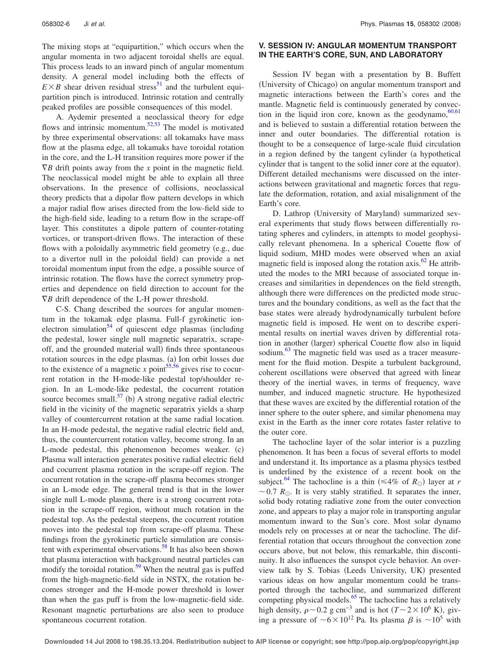The mixing stops at "equipartition," which occurs when the angular momenta in two adjacent toroidal shells are equal. This process leads to an inward pinch of angular momentum density. A general model including both the effects of  $E \times B$  shear driven residual stress<sup>51</sup> and the turbulent equipartition pinch is introduced. Intrinsic rotation and centrally peaked profiles are possible consequences of this model.

A. Aydemir presented a neoclassical theory for edge flows and intrinsic momentum.<sup>52,[53](#page-7-49)</sup> The model is motivated by three experimental observations: all tokamaks have mass flow at the plasma edge, all tokamaks have toroidal rotation in the core, and the L-H transition requires more power if the  $\nabla B$  drift points away from the *x* point in the magnetic field. The neoclassical model might be able to explain all three observations. In the presence of collisions, neoclassical theory predicts that a dipolar flow pattern develops in which a major radial flow arises directed from the low-field side to the high-field side, leading to a return flow in the scrape-off layer. This constitutes a dipole pattern of counter-rotating vortices, or transport-driven flows. The interaction of these flows with a poloidally asymmetric field geometry (e.g., due to a divertor null in the poloidal field) can provide a net toroidal momentum input from the edge, a possible source of intrinsic rotation. The flows have the correct symmetry properties and dependence on field direction to account for the  $\nabla B$  drift dependence of the L-H power threshold.

C-S. Chang described the sources for angular momentum in the tokamak edge plasma. Full-f gyrokinetic ion-electron simulation<sup>[54](#page-7-50)</sup> of quiescent edge plasmas (including the pedestal, lower single null magnetic separatrix, scrapeoff, and the grounded material wall) finds three spontaneous rotation sources in the edge plasmas. (a) Ion orbit losses due to the existence of a magnetic *x* point<sup>55[,56](#page-7-52)</sup> gives rise to cocurrent rotation in the H-mode-like pedestal top/shoulder region. In an L-mode-like pedestal, the cocurrent rotation source becomes small.<sup>57</sup> (b) A strong negative radial electric field in the vicinity of the magnetic separatrix yields a sharp valley of countercurrent rotation at the same radial location. In an H-mode pedestal, the negative radial electric field and, thus, the countercurrent rotation valley, become strong. In an L-mode pedestal, this phenomenon becomes weaker.  $(c)$ Plasma wall interaction generates positive radial electric field and cocurrent plasma rotation in the scrape-off region. The cocurrent rotation in the scrape-off plasma becomes stronger in an L-mode edge. The general trend is that in the lower single null L-mode plasma, there is a strong cocurrent rotation in the scrape-off region, without much rotation in the pedestal top. As the pedestal steepens, the cocurrent rotation moves into the pedestal top from scrape-off plasma. These findings from the gyrokinetic particle simulation are consistent with experimental observations.<sup>58</sup> It has also been shown that plasma interaction with background neutral particles can modify the toroidal rotation. $59$  When the neutral gas is puffed from the high-magnetic-field side in NSTX, the rotation becomes stronger and the H-mode power threshold is lower than when the gas puff is from the low-magnetic-field side. Resonant magnetic perturbations are also seen to produce spontaneous cocurrent rotation.

## **V. SESSION IV: ANGULAR MOMENTUM TRANSPORT IN THE EARTH'S CORE, SUN, AND LABORATORY**

Session IV began with a presentation by B. Buffett (University of Chicago) on angular momentum transport and magnetic interactions between the Earth's cores and the mantle. Magnetic field is continuously generated by convection in the liquid iron core, known as the geodynamo,  $60,61$  $60,61$ and is believed to sustain a differential rotation between the inner and outer boundaries. The differential rotation is thought to be a consequence of large-scale fluid circulation in a region defined by the tangent cylinder (a hypothetical cylinder that is tangent to the solid inner core at the equator. Different detailed mechanisms were discussed on the interactions between gravitational and magnetic forces that regulate the deformation, rotation, and axial misalignment of the Earth's core.

D. Lathrop (University of Maryland) summarized several experiments that study flows between differentially rotating spheres and cylinders, in attempts to model geophysically relevant phenomena. In a spherical Couette flow of liquid sodium, MHD modes were observed when an axial magnetic field is imposed along the rotation  $axis$ <sup>62</sup>. He attributed the modes to the MRI because of associated torque increases and similarities in dependences on the field strength, although there were differences on the predicted mode structures and the boundary conditions, as well as the fact that the base states were already hydrodynamically turbulent before magnetic field is imposed. He went on to describe experimental results on inertial waves driven by differential rotation in another (larger) spherical Couette flow also in liquid sodium.<sup>63</sup> The magnetic field was used as a tracer measurement for the fluid motion. Despite a turbulent background, coherent oscillations were observed that agreed with linear theory of the inertial waves, in terms of frequency, wave number, and induced magnetic structure. He hypothesized that these waves are excited by the differential rotation of the inner sphere to the outer sphere, and similar phenomena may exist in the Earth as the inner core rotates faster relative to the outer core.

The tachocline layer of the solar interior is a puzzling phenomenon. It has been a focus of several efforts to model and understand it. Its importance as a plasma physics testbed is underlined by the existence of a recent book on the subject.<sup>64</sup> The tachocline is a thin  $(\leq 4\% \text{ of } R_{\odot})$  layer at *r*  $\sim$  0.7 *R*<sub> $\odot$ </sub>. It is very stably stratified. It separates the inner, solid body rotating radiative zone from the outer convection zone, and appears to play a major role in transporting angular momentum inward to the Sun's core. Most solar dynamo models rely on processes at or near the tachocline. The differential rotation that occurs throughout the convection zone occurs above, but not below, this remarkable, thin discontinuity. It also influences the sunspot cycle behavior. An overview talk by S. Tobias (Leeds University, UK) presented various ideas on how angular momentum could be transported through the tachocline, and summarized different competing physical models.<sup>65</sup> The tachocline has a relatively high density,  $\rho \sim 0.2$  g cm<sup>-3</sup> and is hot  $(T \sim 2 \times 10^6 \text{ K})$ , giving a pressure of  $\sim 6 \times 10^{12}$  Pa. Its plasma  $\beta$  is  $\sim 10^5$  with